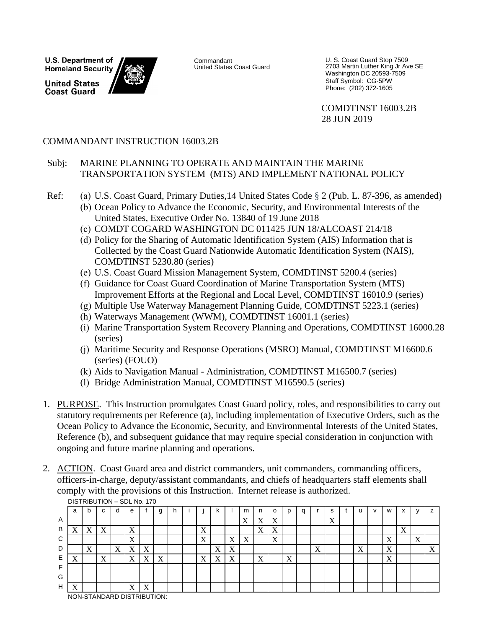**U.S. Department of Homeland Security United States Coast Guard** 



Commandant United States Coast Guard U. S. Coast Guard Stop 7509 2703 Martin Luther King Jr Ave SE Washington DC 20593-7509 Staff Symbol: CG-5PW Phone: (202) 372-1605

COMDTINST 16003.2B 28 JUN 2019

## COMMANDANT INSTRUCTION 16003.2B

#### Subj: MARINE PLANNING TO OPERATE AND MAINTAIN THE MARINE TRANSPORTATION SYSTEM (MTS) AND IMPLEMENT NATIONAL POLICY

- Ref: (a) U.S. Coast Guard, Primary Duties,14 United States Code § 2 (Pub. L. 87-396, as amended)
	- (b) Ocean Policy to Advance the Economic, Security, and Environmental Interests of the United States, Executive Order No. 13840 of 19 June 2018
	- (c) COMDT COGARD WASHINGTON DC 011425 JUN 18/ALCOAST 214/18
	- (d) Policy for the Sharing of Automatic Identification System (AIS) Information that is Collected by the Coast Guard Nationwide Automatic Identification System (NAIS), COMDTINST 5230.80 (series)
	- (e) U.S. Coast Guard Mission Management System, COMDTINST 5200.4 (series)
	- (f) Guidance for Coast Guard Coordination of Marine Transportation System (MTS) Improvement Efforts at the Regional and Local Level, COMDTINST 16010.9 (series)
	- (g) Multiple Use Waterway Management Planning Guide, COMDTINST 5223.1 (series)
	- (h) Waterways Management (WWM), COMDTINST 16001.1 (series)
	- (i) Marine Transportation System Recovery Planning and Operations, COMDTINST 16000.28 (series)
	- (j) Maritime Security and Response Operations (MSRO) Manual, COMDTINST M16600.6 (series) (FOUO)
	- (k) Aids to Navigation Manual Administration, COMDTINST M16500.7 (series)
	- (l) Bridge Administration Manual, COMDTINST M16590.5 (series)
- 1. PURPOSE. This Instruction promulgates Coast Guard policy, roles, and responsibilities to carry out statutory requirements per Reference (a), including implementation of Executive Orders, such as the Ocean Policy to Advance the Economic, Security, and Environmental Interests of the United States, Reference (b), and subsequent guidance that may require special consideration in conjunction with ongoing and future marine planning and operations.
- 2. ACTION. Coast Guard area and district commanders, unit commanders, commanding officers, officers-in-charge, deputy/assistant commandants, and chiefs of headquarters staff elements shall comply with the provisions of this Instruction. Internet release is authorized.

|   | <b>PIOTINDO HON - ODE NO. 170</b> |                   |                           |               |                   |                           |   |   |  |                           |                           |                           |                           |                           |                |                   |   |                          |                           |                   |   |                   |                               |   |                           |
|---|-----------------------------------|-------------------|---------------------------|---------------|-------------------|---------------------------|---|---|--|---------------------------|---------------------------|---------------------------|---------------------------|---------------------------|----------------|-------------------|---|--------------------------|---------------------------|-------------------|---|-------------------|-------------------------------|---|---------------------------|
|   | a                                 | b                 | C                         | d             | е                 |                           | g | h |  |                           | n.                        |                           | m                         | n                         | o              | D                 | a |                          | s                         |                   | v | W                 | $\overline{\phantom{a}}$<br>́ |   | $\overline{\phantom{a}}$  |
| A |                                   |                   |                           |               |                   |                           |   |   |  |                           |                           |                           | X                         | $\Lambda$                 | v<br>$\Lambda$ |                   |   |                          | $\mathbf{v}$<br>$\Lambda$ |                   |   |                   |                               |   |                           |
| B | v<br>△                            | X                 | v<br>$\Lambda$            |               | X                 |                           |   |   |  | $\mathbf{v}$<br>A         |                           |                           |                           | $\mathbf{v}$<br>$\Lambda$ | v<br>$\Lambda$ |                   |   |                          |                           |                   |   |                   | $\mathbf{v}$<br>$\Lambda$     |   |                           |
| C |                                   |                   |                           |               | X                 |                           |   |   |  | X                         |                           | X                         | $\mathbf{v}$<br>$\Lambda$ |                           | X              |                   |   |                          |                           |                   |   | X                 |                               | X |                           |
| D |                                   | $\mathbf{v}$<br>A |                           | <b>T</b><br>A | Χ                 | v<br>$\Lambda$            |   |   |  |                           | $\mathbf{v}$<br>A         | X                         |                           |                           |                |                   |   | $\mathbf v$<br>$\Lambda$ |                           | $\mathbf{v}$<br>Λ |   | $\mathbf v$<br>A  |                               |   | $\mathbf{v}$<br>$\Lambda$ |
| Е | ٦z<br>$\Lambda$                   |                   | $\mathbf{v}$<br>$\Lambda$ |               | $\mathbf{v}$<br>A | $\mathbf{v}$<br>$\Lambda$ | X |   |  | $\mathbf{v}$<br>$\Lambda$ | $\mathbf{v}$<br>$\Lambda$ | $\mathbf{v}$<br>$\Lambda$ |                           | $\mathbf{v}$<br>A         |                | $\mathbf{v}$<br>A |   |                          |                           |                   |   | $\mathbf{v}$<br>A |                               |   |                           |
| Е |                                   |                   |                           |               |                   |                           |   |   |  |                           |                           |                           |                           |                           |                |                   |   |                          |                           |                   |   |                   |                               |   |                           |
| G |                                   |                   |                           |               |                   |                           |   |   |  |                           |                           |                           |                           |                           |                |                   |   |                          |                           |                   |   |                   |                               |   |                           |
| H | v<br>Δ                            |                   |                           |               | X                 | v<br>A                    |   |   |  |                           |                           |                           |                           |                           |                |                   |   |                          |                           |                   |   |                   |                               |   |                           |
|   | MOM CTANDADD DICTOIDLITION.       |                   |                           |               |                   |                           |   |   |  |                           |                           |                           |                           |                           |                |                   |   |                          |                           |                   |   |                   |                               |   |                           |

DISTRIBUTION – SDL No. 170

NON-STANDARD DISTRIBUTION: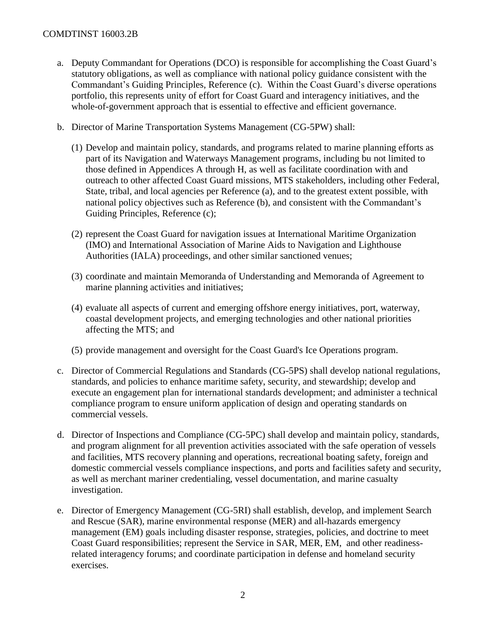- a. Deputy Commandant for Operations (DCO) is responsible for accomplishing the Coast Guard's statutory obligations, as well as compliance with national policy guidance consistent with the Commandant's Guiding Principles, Reference (c). Within the Coast Guard's diverse operations portfolio, this represents unity of effort for Coast Guard and interagency initiatives, and the whole-of-government approach that is essential to effective and efficient governance.
- b. Director of Marine Transportation Systems Management (CG-5PW) shall:
	- (1) Develop and maintain policy, standards, and programs related to marine planning efforts as part of its Navigation and Waterways Management programs, including bu not limited to those defined in Appendices A through H, as well as facilitate coordination with and outreach to other affected Coast Guard missions, MTS stakeholders, including other Federal, State, tribal, and local agencies per Reference (a), and to the greatest extent possible, with national policy objectives such as Reference (b), and consistent with the Commandant's Guiding Principles, Reference (c);
	- (2) represent the Coast Guard for navigation issues at International Maritime Organization (IMO) and International Association of Marine Aids to Navigation and Lighthouse Authorities (IALA) proceedings, and other similar sanctioned venues;
	- (3) coordinate and maintain Memoranda of Understanding and Memoranda of Agreement to marine planning activities and initiatives;
	- (4) evaluate all aspects of current and emerging offshore energy initiatives, port, waterway, coastal development projects, and emerging technologies and other national priorities affecting the MTS; and
	- (5) provide management and oversight for the Coast Guard's Ice Operations program.
- c. Director of Commercial Regulations and Standards (CG-5PS) shall develop national regulations, standards, and policies to enhance maritime safety, security, and stewardship; develop and execute an engagement plan for international standards development; and administer a technical compliance program to ensure uniform application of design and operating standards on commercial vessels.
- d. Director of Inspections and Compliance (CG-5PC) shall develop and maintain policy, standards, and program alignment for all prevention activities associated with the safe operation of vessels and facilities, MTS recovery planning and operations, recreational boating safety, foreign and domestic commercial vessels compliance inspections, and ports and facilities safety and security, as well as merchant mariner credentialing, vessel documentation, and marine casualty investigation.
- e. Director of Emergency Management (CG-5RI) shall establish, develop, and implement Search and Rescue (SAR), marine environmental response (MER) and all-hazards emergency management (EM) goals including disaster response, strategies, policies, and doctrine to meet Coast Guard responsibilities; represent the Service in SAR, MER, EM, and other readinessrelated interagency forums; and coordinate participation in defense and homeland security exercises.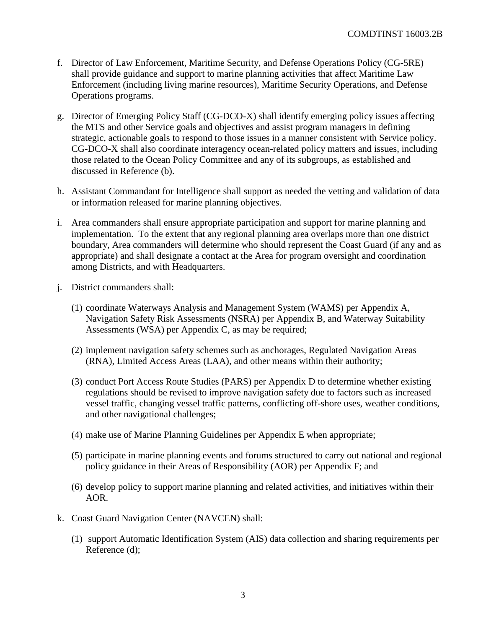- f. Director of Law Enforcement, Maritime Security, and Defense Operations Policy (CG-5RE) shall provide guidance and support to marine planning activities that affect Maritime Law Enforcement (including living marine resources), Maritime Security Operations, and Defense Operations programs.
- g. Director of Emerging Policy Staff (CG-DCO-X) shall identify emerging policy issues affecting the MTS and other Service goals and objectives and assist program managers in defining strategic, actionable goals to respond to those issues in a manner consistent with Service policy. CG-DCO-X shall also coordinate interagency ocean-related policy matters and issues, including those related to the Ocean Policy Committee and any of its subgroups, as established and discussed in Reference (b).
- h. Assistant Commandant for Intelligence shall support as needed the vetting and validation of data or information released for marine planning objectives.
- i. Area commanders shall ensure appropriate participation and support for marine planning and implementation. To the extent that any regional planning area overlaps more than one district boundary, Area commanders will determine who should represent the Coast Guard (if any and as appropriate) and shall designate a contact at the Area for program oversight and coordination among Districts, and with Headquarters.
- j. District commanders shall:
	- (1) coordinate Waterways Analysis and Management System (WAMS) per Appendix A, Navigation Safety Risk Assessments (NSRA) per Appendix B, and Waterway Suitability Assessments (WSA) per Appendix C, as may be required;
	- (2) implement navigation safety schemes such as anchorages, Regulated Navigation Areas (RNA), Limited Access Areas (LAA), and other means within their authority;
	- (3) conduct Port Access Route Studies (PARS) per Appendix D to determine whether existing regulations should be revised to improve navigation safety due to factors such as increased vessel traffic, changing vessel traffic patterns, conflicting off-shore uses, weather conditions, and other navigational challenges;
	- (4) make use of Marine Planning Guidelines per Appendix E when appropriate;
	- (5) participate in marine planning events and forums structured to carry out national and regional policy guidance in their Areas of Responsibility (AOR) per Appendix F; and
	- (6) develop policy to support marine planning and related activities, and initiatives within their AOR.
- k. Coast Guard Navigation Center (NAVCEN) shall:
	- (1) support Automatic Identification System (AIS) data collection and sharing requirements per Reference (d);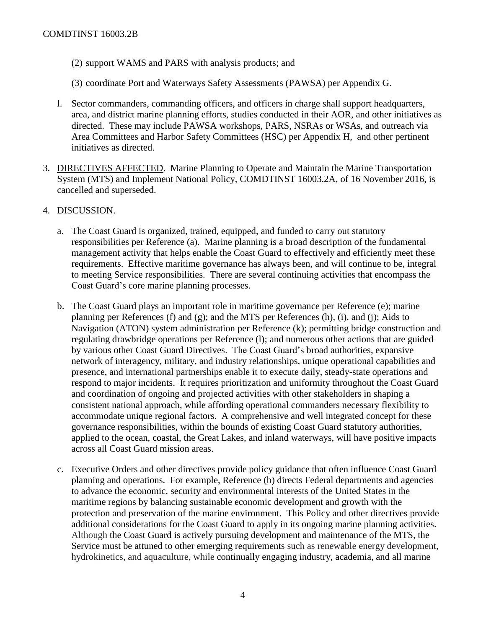- (2) support WAMS and PARS with analysis products; and
- (3) coordinate Port and Waterways Safety Assessments (PAWSA) per Appendix G.
- l. Sector commanders, commanding officers, and officers in charge shall support headquarters, area, and district marine planning efforts, studies conducted in their AOR, and other initiatives as directed. These may include PAWSA workshops, PARS, NSRAs or WSAs, and outreach via Area Committees and Harbor Safety Committees (HSC) per Appendix H, and other pertinent initiatives as directed.
- 3. DIRECTIVES AFFECTED. Marine Planning to Operate and Maintain the Marine Transportation System (MTS) and Implement National Policy, COMDTINST 16003.2A, of 16 November 2016, is cancelled and superseded.
- 4. DISCUSSION.
	- a. The Coast Guard is organized, trained, equipped, and funded to carry out statutory responsibilities per Reference (a). Marine planning is a broad description of the fundamental management activity that helps enable the Coast Guard to effectively and efficiently meet these requirements. Effective maritime governance has always been, and will continue to be, integral to meeting Service responsibilities. There are several continuing activities that encompass the Coast Guard's core marine planning processes.
	- b. The Coast Guard plays an important role in maritime governance per Reference (e); marine planning per References (f) and (g); and the MTS per References (h), (i), and (j); Aids to Navigation (ATON) system administration per Reference (k); permitting bridge construction and regulating drawbridge operations per Reference (l); and numerous other actions that are guided by various other Coast Guard Directives. The Coast Guard's broad authorities, expansive network of interagency, military, and industry relationships, unique operational capabilities and presence, and international partnerships enable it to execute daily, steady-state operations and respond to major incidents. It requires prioritization and uniformity throughout the Coast Guard and coordination of ongoing and projected activities with other stakeholders in shaping a consistent national approach, while affording operational commanders necessary flexibility to accommodate unique regional factors. A comprehensive and well integrated concept for these governance responsibilities, within the bounds of existing Coast Guard statutory authorities, applied to the ocean, coastal, the Great Lakes, and inland waterways, will have positive impacts across all Coast Guard mission areas.
	- c. Executive Orders and other directives provide policy guidance that often influence Coast Guard planning and operations. For example, Reference (b) directs Federal departments and agencies to advance the economic, security and environmental interests of the United States in the maritime regions by balancing sustainable economic development and growth with the protection and preservation of the marine environment. This Policy and other directives provide additional considerations for the Coast Guard to apply in its ongoing marine planning activities. Although the Coast Guard is actively pursuing development and maintenance of the MTS, the Service must be attuned to other emerging requirements such as renewable energy development, hydrokinetics, and aquaculture, while continually engaging industry, academia, and all marine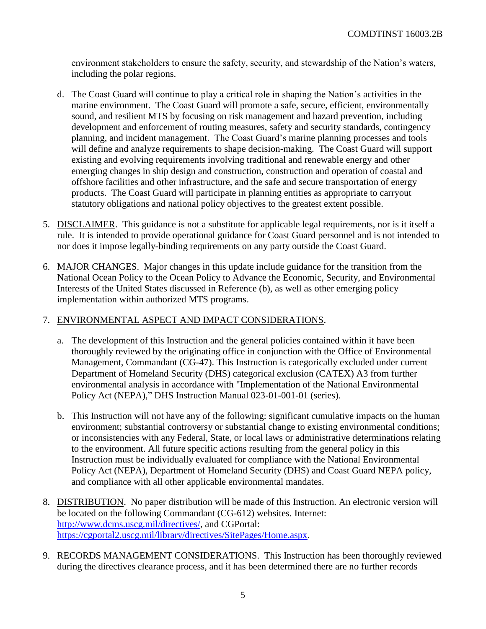environment stakeholders to ensure the safety, security, and stewardship of the Nation's waters, including the polar regions.

- d. The Coast Guard will continue to play a critical role in shaping the Nation's activities in the marine environment. The Coast Guard will promote a safe, secure, efficient, environmentally sound, and resilient MTS by focusing on risk management and hazard prevention, including development and enforcement of routing measures, safety and security standards, contingency planning, and incident management. The Coast Guard's marine planning processes and tools will define and analyze requirements to shape decision-making. The Coast Guard will support existing and evolving requirements involving traditional and renewable energy and other emerging changes in ship design and construction, construction and operation of coastal and offshore facilities and other infrastructure, and the safe and secure transportation of energy products. The Coast Guard will participate in planning entities as appropriate to carryout statutory obligations and national policy objectives to the greatest extent possible.
- 5. DISCLAIMER. This guidance is not a substitute for applicable legal requirements, nor is it itself a rule. It is intended to provide operational guidance for Coast Guard personnel and is not intended to nor does it impose legally-binding requirements on any party outside the Coast Guard.
- 6. MAJOR CHANGES. Major changes in this update include guidance for the transition from the National Ocean Policy to the Ocean Policy to Advance the Economic, Security, and Environmental Interests of the United States discussed in Reference (b), as well as other emerging policy implementation within authorized MTS programs.

## 7. ENVIRONMENTAL ASPECT AND IMPACT CONSIDERATIONS.

- a. The development of this Instruction and the general policies contained within it have been thoroughly reviewed by the originating office in conjunction with the Office of Environmental Management, Commandant (CG-47). This Instruction is categorically excluded under current Department of Homeland Security (DHS) categorical exclusion (CATEX) A3 from further environmental analysis in accordance with "Implementation of the National Environmental Policy Act (NEPA)," DHS Instruction Manual 023-01-001-01 (series).
- b. This Instruction will not have any of the following: significant cumulative impacts on the human environment; substantial controversy or substantial change to existing environmental conditions; or inconsistencies with any Federal, State, or local laws or administrative determinations relating to the environment. All future specific actions resulting from the general policy in this Instruction must be individually evaluated for compliance with the National Environmental Policy Act (NEPA), Department of Homeland Security (DHS) and Coast Guard NEPA policy, and compliance with all other applicable environmental mandates.
- 8. DISTRIBUTION. No paper distribution will be made of this Instruction. An electronic version will be located on the following Commandant (CG-612) websites. Internet: [http://www.dcms.uscg.mil/directives/,](http://www.dcms.uscg.mil/directives/) and CGPortal: [https://cgportal2.uscg.mil/library/directives/SitePages/Home.aspx.](https://cgportal2.uscg.mil/library/directives/SitePages/Home.aspx)
- 9. RECORDS MANAGEMENT CONSIDERATIONS. This Instruction has been thoroughly reviewed during the directives clearance process, and it has been determined there are no further records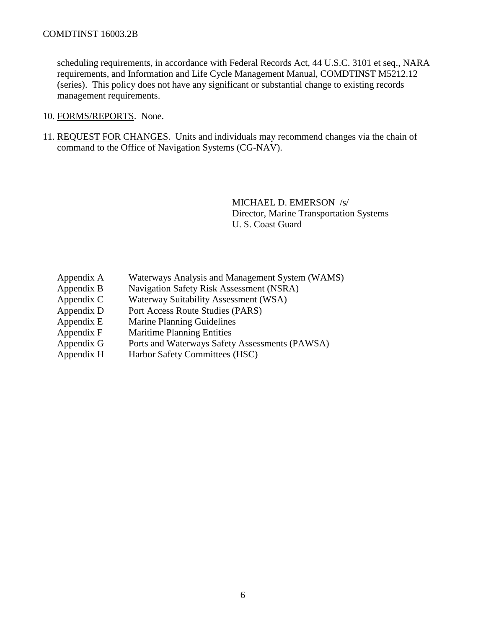scheduling requirements, in accordance with Federal Records Act, 44 U.S.C. 3101 et seq., NARA requirements, and Information and Life Cycle Management Manual, COMDTINST M5212.12 (series). This policy does not have any significant or substantial change to existing records management requirements.

- 10. FORMS/REPORTS. None.
- 11. REQUEST FOR CHANGES. Units and individuals may recommend changes via the chain of command to the Office of Navigation Systems (CG-NAV).

MICHAEL D. EMERSON /s/ Director, Marine Transportation Systems U. S. Coast Guard

- Appendix A Waterways Analysis and Management System (WAMS)
- Appendix B Navigation Safety Risk Assessment (NSRA)
- Appendix C Waterway Suitability Assessment (WSA)
- Appendix D Port Access Route Studies (PARS)
- Appendix E Marine Planning Guidelines
- Appendix F Maritime Planning Entities
- Appendix G Ports and Waterways Safety Assessments (PAWSA)
- Appendix H Harbor Safety Committees (HSC)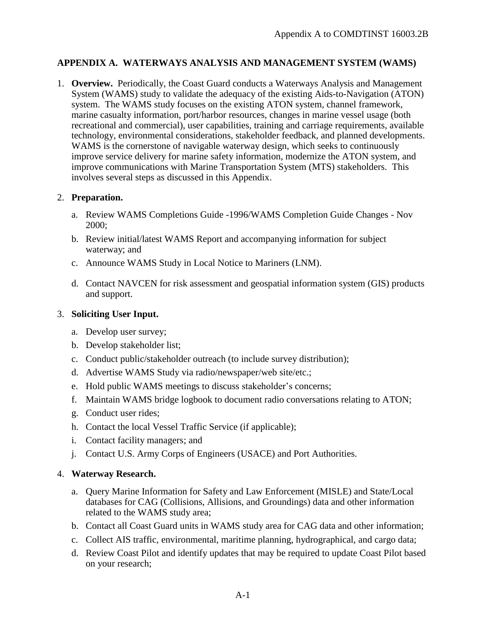## **APPENDIX A. WATERWAYS ANALYSIS AND MANAGEMENT SYSTEM (WAMS)**

1. **Overview.** Periodically, the Coast Guard conducts a Waterways Analysis and Management System (WAMS) study to validate the adequacy of the existing Aids-to-Navigation (ATON) system. The WAMS study focuses on the existing ATON system, channel framework, marine casualty information, port/harbor resources, changes in marine vessel usage (both recreational and commercial), user capabilities, training and carriage requirements, available technology, environmental considerations, stakeholder feedback, and planned developments. WAMS is the cornerstone of navigable waterway design, which seeks to continuously improve service delivery for marine safety information, modernize the ATON system, and improve communications with Marine Transportation System (MTS) stakeholders. This involves several steps as discussed in this Appendix.

## 2. **Preparation.**

- a. Review WAMS Completions Guide -1996/WAMS Completion Guide Changes Nov 2000;
- b. Review initial/latest WAMS Report and accompanying information for subject waterway; and
- c. Announce WAMS Study in Local Notice to Mariners (LNM).
- d. Contact NAVCEN for risk assessment and geospatial information system (GIS) products and support.

### 3. **Soliciting User Input.**

- a. Develop user survey;
- b. Develop stakeholder list;
- c. Conduct public/stakeholder outreach (to include survey distribution);
- d. Advertise WAMS Study via radio/newspaper/web site/etc.;
- e. Hold public WAMS meetings to discuss stakeholder's concerns;
- f. Maintain WAMS bridge logbook to document radio conversations relating to ATON;
- g. Conduct user rides;
- h. Contact the local Vessel Traffic Service (if applicable);
- i. Contact facility managers; and
- j. Contact U.S. Army Corps of Engineers (USACE) and Port Authorities.

#### 4. **Waterway Research.**

- a. Query Marine Information for Safety and Law Enforcement (MISLE) and State/Local databases for CAG (Collisions, Allisions, and Groundings) data and other information related to the WAMS study area;
- b. Contact all Coast Guard units in WAMS study area for CAG data and other information;
- c. Collect AIS traffic, environmental, maritime planning, hydrographical, and cargo data;
- d. Review Coast Pilot and identify updates that may be required to update Coast Pilot based on your research;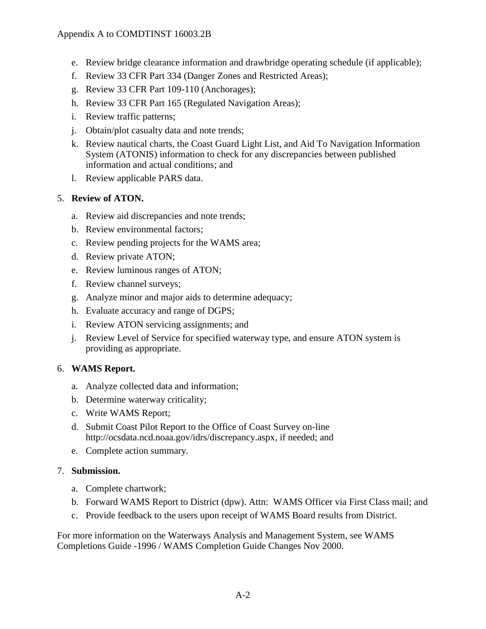- e. Review bridge clearance information and drawbridge operating schedule (if applicable);
- f. Review 33 CFR Part 334 (Danger Zones and Restricted Areas);
- g. Review 33 CFR Part 109-110 (Anchorages);
- h. Review 33 CFR Part 165 (Regulated Navigation Areas);
- i. Review traffic patterns;
- j. Obtain/plot casualty data and note trends;
- k. Review nautical charts, the Coast Guard Light List, and Aid To Navigation Information System (ATONIS) information to check for any discrepancies between published information and actual conditions; and
- l. Review applicable PARS data.

## 5. **Review of ATON.**

- a. Review aid discrepancies and note trends;
- b. Review environmental factors;
- c. Review pending projects for the WAMS area;
- d. Review private ATON;
- e. Review luminous ranges of ATON;
- f. Review channel surveys;
- g. Analyze minor and major aids to determine adequacy;
- h. Evaluate accuracy and range of DGPS;
- i. Review ATON servicing assignments; and
- j. Review Level of Service for specified waterway type, and ensure ATON system is providing as appropriate.

## 6. **WAMS Report.**

- a. Analyze collected data and information;
- b. Determine waterway criticality;
- c. Write WAMS Report;
- d. Submit Coast Pilot Report to the Office of Coast Survey on-line http://ocsdata.ncd.noaa.gov/idrs/discrepancy.aspx, if needed; and
- e. Complete action summary.

## 7. **Submission.**

- a. Complete chartwork;
- b. Forward WAMS Report to District (dpw). Attn: WAMS Officer via First Class mail; and
- c. Provide feedback to the users upon receipt of WAMS Board results from District.

For more information on the Waterways Analysis and Management System, see WAMS Completions Guide -1996 / WAMS Completion Guide Changes Nov 2000.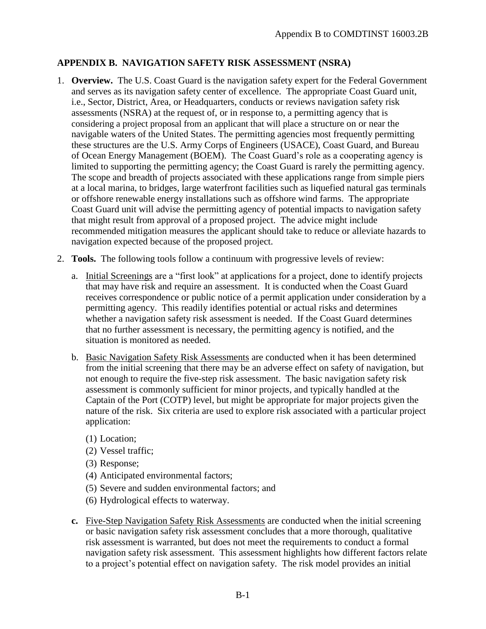# **APPENDIX B. NAVIGATION SAFETY RISK ASSESSMENT (NSRA)**

- 1. **Overview.** The U.S. Coast Guard is the navigation safety expert for the Federal Government and serves as its navigation safety center of excellence. The appropriate Coast Guard unit, i.e., Sector, District, Area, or Headquarters, conducts or reviews navigation safety risk assessments (NSRA) at the request of, or in response to, a permitting agency that is considering a project proposal from an applicant that will place a structure on or near the navigable waters of the United States. The permitting agencies most frequently permitting these structures are the U.S. Army Corps of Engineers (USACE), Coast Guard, and Bureau of Ocean Energy Management (BOEM). The Coast Guard's role as a cooperating agency is limited to supporting the permitting agency; the Coast Guard is rarely the permitting agency. The scope and breadth of projects associated with these applications range from simple piers at a local marina, to bridges, large waterfront facilities such as liquefied natural gas terminals or offshore renewable energy installations such as offshore wind farms. The appropriate Coast Guard unit will advise the permitting agency of potential impacts to navigation safety that might result from approval of a proposed project. The advice might include recommended mitigation measures the applicant should take to reduce or alleviate hazards to navigation expected because of the proposed project.
- 2. **Tools.** The following tools follow a continuum with progressive levels of review:
	- a. Initial Screenings are a "first look" at applications for a project, done to identify projects that may have risk and require an assessment. It is conducted when the Coast Guard receives correspondence or public notice of a permit application under consideration by a permitting agency. This readily identifies potential or actual risks and determines whether a navigation safety risk assessment is needed. If the Coast Guard determines that no further assessment is necessary, the permitting agency is notified, and the situation is monitored as needed.
	- b. Basic Navigation Safety Risk Assessments are conducted when it has been determined from the initial screening that there may be an adverse effect on safety of navigation, but not enough to require the five-step risk assessment. The basic navigation safety risk assessment is commonly sufficient for minor projects, and typically handled at the Captain of the Port (COTP) level, but might be appropriate for major projects given the nature of the risk. Six criteria are used to explore risk associated with a particular project application:
		- (1) Location;
		- (2) Vessel traffic;
		- (3) Response;
		- (4) Anticipated environmental factors;
		- (5) Severe and sudden environmental factors; and
		- (6) Hydrological effects to waterway.
	- **c.** Five-Step Navigation Safety Risk Assessments are conducted when the initial screening or basic navigation safety risk assessment concludes that a more thorough, qualitative risk assessment is warranted, but does not meet the requirements to conduct a formal navigation safety risk assessment. This assessment highlights how different factors relate to a project's potential effect on navigation safety. The risk model provides an initial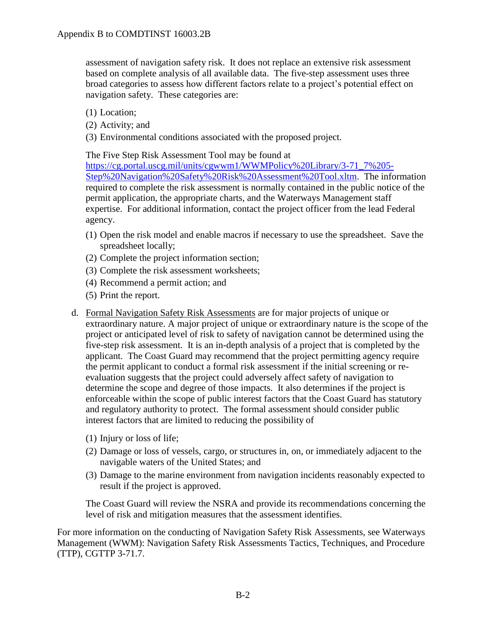assessment of navigation safety risk. It does not replace an extensive risk assessment based on complete analysis of all available data. The five-step assessment uses three broad categories to assess how different factors relate to a project's potential effect on navigation safety. These categories are:

- (1) Location;
- (2) Activity; and
- (3) Environmental conditions associated with the proposed project.

The Five Step Risk Assessment Tool may be found at

[https://cg.portal.uscg.mil/units/cgwwm1/WWMPolicy%20Library/3-71\\_7%205-](https://cg.portal.uscg.mil/units/cgwwm1/WWM%20Policy%20Library/3-71_7%205-Step%20Navigation%20Safety%20Risk%20Assessment%20Tool.xltm) [Step%20Navigation%20Safety%20Risk%20Assessment%20Tool.xltm.](https://cg.portal.uscg.mil/units/cgwwm1/WWM%20Policy%20Library/3-71_7%205-Step%20Navigation%20Safety%20Risk%20Assessment%20Tool.xltm) The information required to complete the risk assessment is normally contained in the public notice of the permit application, the appropriate charts, and the Waterways Management staff expertise. For additional information, contact the project officer from the lead Federal agency.

- (1) Open the risk model and enable macros if necessary to use the spreadsheet. Save the spreadsheet locally;
- (2) Complete the project information section;
- (3) Complete the risk assessment worksheets;
- (4) Recommend a permit action; and
- (5) Print the report.
- d. Formal Navigation Safety Risk Assessments are for major projects of unique or extraordinary nature. A major project of unique or extraordinary nature is the scope of the project or anticipated level of risk to safety of navigation cannot be determined using the five-step risk assessment. It is an in-depth analysis of a project that is completed by the applicant. The Coast Guard may recommend that the project permitting agency require the permit applicant to conduct a formal risk assessment if the initial screening or reevaluation suggests that the project could adversely affect safety of navigation to determine the scope and degree of those impacts. It also determines if the project is enforceable within the scope of public interest factors that the Coast Guard has statutory and regulatory authority to protect. The formal assessment should consider public interest factors that are limited to reducing the possibility of
	- (1) Injury or loss of life;
	- (2) Damage or loss of vessels, cargo, or structures in, on, or immediately adjacent to the navigable waters of the United States; and
	- (3) Damage to the marine environment from navigation incidents reasonably expected to result if the project is approved.

The Coast Guard will review the NSRA and provide its recommendations concerning the level of risk and mitigation measures that the assessment identifies.

For more information on the conducting of Navigation Safety Risk Assessments, see Waterways Management (WWM): Navigation Safety Risk Assessments Tactics, Techniques, and Procedure (TTP), CGTTP 3-71.7.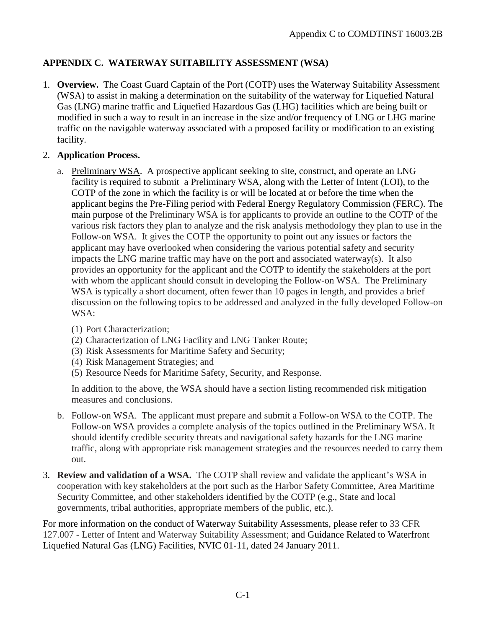# **APPENDIX C. WATERWAY SUITABILITY ASSESSMENT (WSA)**

1. **Overview.** The Coast Guard Captain of the Port (COTP) uses the Waterway Suitability Assessment (WSA) to assist in making a determination on the suitability of the waterway for Liquefied Natural Gas (LNG) marine traffic and Liquefied Hazardous Gas (LHG) facilities which are being built or modified in such a way to result in an increase in the size and/or frequency of LNG or LHG marine traffic on the navigable waterway associated with a proposed facility or modification to an existing facility.

### 2. **Application Process.**

- a. Preliminary WSA. A prospective applicant seeking to site, construct, and operate an LNG facility is required to submit a Preliminary WSA, along with the Letter of Intent (LOI), to the COTP of the zone in which the facility is or will be located at or before the time when the applicant begins the Pre-Filing period with Federal Energy Regulatory Commission (FERC). The main purpose of the Preliminary WSA is for applicants to provide an outline to the COTP of the various risk factors they plan to analyze and the risk analysis methodology they plan to use in the Follow-on WSA. It gives the COTP the opportunity to point out any issues or factors the applicant may have overlooked when considering the various potential safety and security impacts the LNG marine traffic may have on the port and associated waterway(s). It also provides an opportunity for the applicant and the COTP to identify the stakeholders at the port with whom the applicant should consult in developing the Follow-on WSA. The Preliminary WSA is typically a short document, often fewer than 10 pages in length, and provides a brief discussion on the following topics to be addressed and analyzed in the fully developed Follow-on WSA:
	- (1) Port Characterization;
	- (2) Characterization of LNG Facility and LNG Tanker Route;
	- (3) Risk Assessments for Maritime Safety and Security;
	- (4) Risk Management Strategies; and
	- (5) Resource Needs for Maritime Safety, Security, and Response.

In addition to the above, the WSA should have a section listing recommended risk mitigation measures and conclusions.

- b. Follow-on WSA. The applicant must prepare and submit a Follow-on WSA to the COTP. The Follow-on WSA provides a complete analysis of the topics outlined in the Preliminary WSA. It should identify credible security threats and navigational safety hazards for the LNG marine traffic, along with appropriate risk management strategies and the resources needed to carry them out.
- 3. **Review and validation of a WSA.** The COTP shall review and validate the applicant's WSA in cooperation with key stakeholders at the port such as the Harbor Safety Committee, Area Maritime Security Committee, and other stakeholders identified by the COTP (e.g., State and local governments, tribal authorities, appropriate members of the public, etc.).

For more information on the conduct of Waterway Suitability Assessments, please refer to 33 CFR 127.007 - Letter of Intent and Waterway Suitability Assessment; and Guidance Related to Waterfront Liquefied Natural Gas (LNG) Facilities, NVIC 01-11, dated 24 January 2011.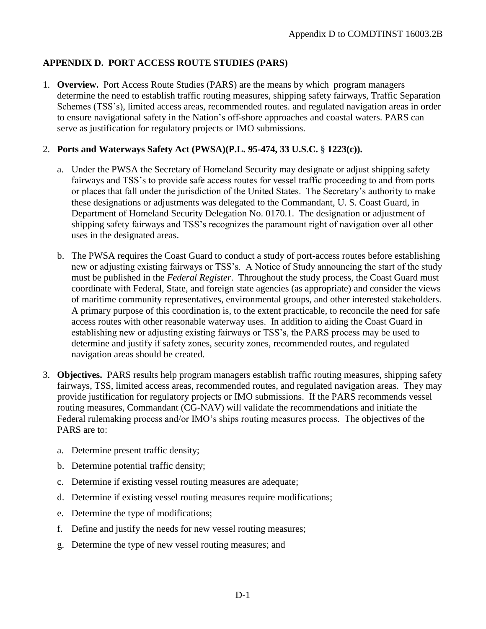# **APPENDIX D. PORT ACCESS ROUTE STUDIES (PARS)**

1. **Overview.** Port Access Route Studies (PARS) are the means by which program managers determine the need to establish traffic routing measures, shipping safety fairways, Traffic Separation Schemes (TSS's), limited access areas, recommended routes. and regulated navigation areas in order to ensure navigational safety in the Nation's off-shore approaches and coastal waters. PARS can serve as justification for regulatory projects or IMO submissions.

### 2. **Ports and Waterways Safety Act (PWSA)(P.L. 95-474, 33 U.S.C. § 1223(c)).**

- a. Under the PWSA the Secretary of Homeland Security may designate or adjust shipping safety fairways and TSS's to provide safe access routes for vessel traffic proceeding to and from ports or places that fall under the jurisdiction of the United States. The Secretary's authority to make these designations or adjustments was delegated to the Commandant, U. S. Coast Guard, in Department of Homeland Security Delegation No. 0170.1. The designation or adjustment of shipping safety fairways and TSS's recognizes the paramount right of navigation over all other uses in the designated areas.
- b. The PWSA requires the Coast Guard to conduct a study of port-access routes before establishing new or adjusting existing fairways or TSS's. A Notice of Study announcing the start of the study must be published in the *Federal Register*. Throughout the study process, the Coast Guard must coordinate with Federal, State, and foreign state agencies (as appropriate) and consider the views of maritime community representatives, environmental groups, and other interested stakeholders. A primary purpose of this coordination is, to the extent practicable, to reconcile the need for safe access routes with other reasonable waterway uses. In addition to aiding the Coast Guard in establishing new or adjusting existing fairways or TSS's, the PARS process may be used to determine and justify if safety zones, security zones, recommended routes, and regulated navigation areas should be created.
- 3. **Objectives.** PARS results help program managers establish traffic routing measures, shipping safety fairways, TSS, limited access areas, recommended routes, and regulated navigation areas. They may provide justification for regulatory projects or IMO submissions. If the PARS recommends vessel routing measures, Commandant (CG-NAV) will validate the recommendations and initiate the Federal rulemaking process and/or IMO's ships routing measures process. The objectives of the PARS are to:
	- a. Determine present traffic density;
	- b. Determine potential traffic density;
	- c. Determine if existing vessel routing measures are adequate;
	- d. Determine if existing vessel routing measures require modifications;
	- e. Determine the type of modifications;
	- f. Define and justify the needs for new vessel routing measures;
	- g. Determine the type of new vessel routing measures; and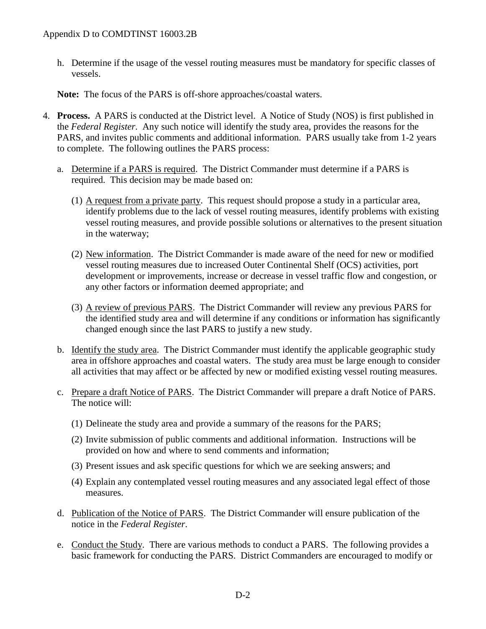h. Determine if the usage of the vessel routing measures must be mandatory for specific classes of vessels.

**Note:** The focus of the PARS is off-shore approaches/coastal waters.

- 4. **Process.** A PARS is conducted at the District level. A Notice of Study (NOS) is first published in the *Federal Register*. Any such notice will identify the study area, provides the reasons for the PARS, and invites public comments and additional information. PARS usually take from 1-2 years to complete. The following outlines the PARS process:
	- a. Determine if a PARS is required. The District Commander must determine if a PARS is required. This decision may be made based on:
		- (1) A request from a private party. This request should propose a study in a particular area, identify problems due to the lack of vessel routing measures, identify problems with existing vessel routing measures, and provide possible solutions or alternatives to the present situation in the waterway;
		- (2) New information. The District Commander is made aware of the need for new or modified vessel routing measures due to increased Outer Continental Shelf (OCS) activities, port development or improvements, increase or decrease in vessel traffic flow and congestion, or any other factors or information deemed appropriate; and
		- (3) A review of previous PARS. The District Commander will review any previous PARS for the identified study area and will determine if any conditions or information has significantly changed enough since the last PARS to justify a new study.
	- b. Identify the study area. The District Commander must identify the applicable geographic study area in offshore approaches and coastal waters. The study area must be large enough to consider all activities that may affect or be affected by new or modified existing vessel routing measures.
	- c. Prepare a draft Notice of PARS. The District Commander will prepare a draft Notice of PARS. The notice will:
		- (1) Delineate the study area and provide a summary of the reasons for the PARS;
		- (2) Invite submission of public comments and additional information. Instructions will be provided on how and where to send comments and information;
		- (3) Present issues and ask specific questions for which we are seeking answers; and
		- (4) Explain any contemplated vessel routing measures and any associated legal effect of those measures.
	- d. Publication of the Notice of PARS. The District Commander will ensure publication of the notice in the *Federal Register*.
	- e. Conduct the Study. There are various methods to conduct a PARS. The following provides a basic framework for conducting the PARS. District Commanders are encouraged to modify or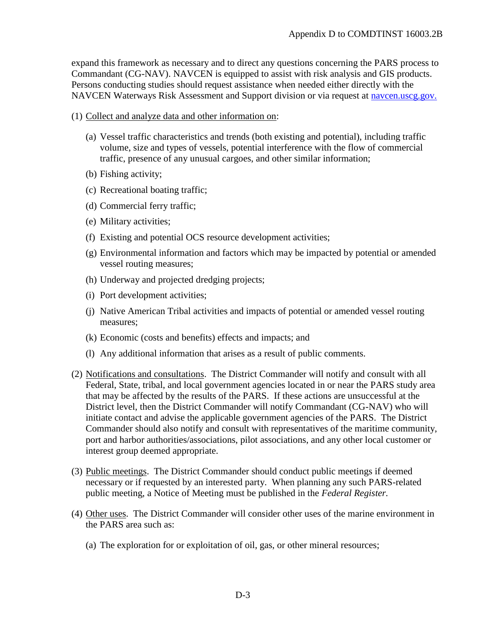expand this framework as necessary and to direct any questions concerning the PARS process to Commandant (CG-NAV). NAVCEN is equipped to assist with risk analysis and GIS products. Persons conducting studies should request assistance when needed either directly with the NAVCEN Waterways Risk Assessment and Support division or via request at [navcen.uscg.gov.](https://navcen.uscg.gov/?pageName=contactUs)

#### (1) Collect and analyze data and other information on:

- (a) Vessel traffic characteristics and trends (both existing and potential), including traffic volume, size and types of vessels, potential interference with the flow of commercial traffic, presence of any unusual cargoes, and other similar information;
- (b) Fishing activity;
- (c) Recreational boating traffic;
- (d) Commercial ferry traffic;
- (e) Military activities;
- (f) Existing and potential OCS resource development activities;
- (g) Environmental information and factors which may be impacted by potential or amended vessel routing measures;
- (h) Underway and projected dredging projects;
- (i) Port development activities;
- (j) Native American Tribal activities and impacts of potential or amended vessel routing measures;
- (k) Economic (costs and benefits) effects and impacts; and
- (l) Any additional information that arises as a result of public comments.
- (2) Notifications and consultations. The District Commander will notify and consult with all Federal, State, tribal, and local government agencies located in or near the PARS study area that may be affected by the results of the PARS. If these actions are unsuccessful at the District level, then the District Commander will notify Commandant (CG-NAV) who will initiate contact and advise the applicable government agencies of the PARS. The District Commander should also notify and consult with representatives of the maritime community, port and harbor authorities/associations, pilot associations, and any other local customer or interest group deemed appropriate.
- (3) Public meetings. The District Commander should conduct public meetings if deemed necessary or if requested by an interested party. When planning any such PARS-related public meeting, a Notice of Meeting must be published in the *Federal Register.*
- (4) Other uses. The District Commander will consider other uses of the marine environment in the PARS area such as:
	- (a) The exploration for or exploitation of oil, gas, or other mineral resources;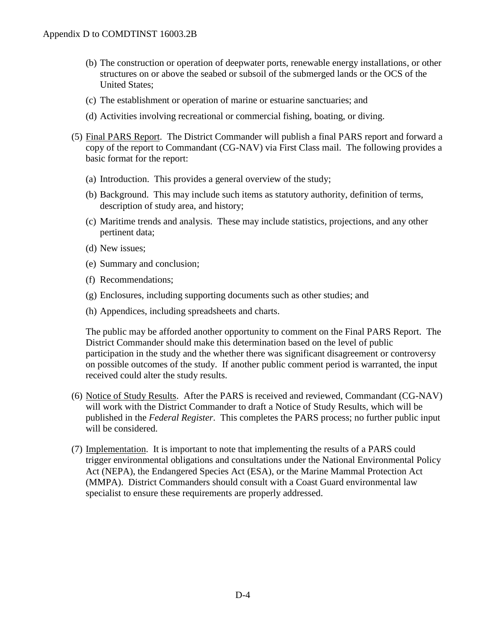- (b) The construction or operation of deepwater ports, renewable energy installations, or other structures on or above the seabed or subsoil of the submerged lands or the OCS of the United States;
- (c) The establishment or operation of marine or estuarine sanctuaries; and
- (d) Activities involving recreational or commercial fishing, boating, or diving.
- (5) Final PARS Report. The District Commander will publish a final PARS report and forward a copy of the report to Commandant (CG-NAV) via First Class mail. The following provides a basic format for the report:
	- (a) Introduction. This provides a general overview of the study;
	- (b) Background. This may include such items as statutory authority, definition of terms, description of study area, and history;
	- (c) Maritime trends and analysis. These may include statistics, projections, and any other pertinent data;
	- (d) New issues;
	- (e) Summary and conclusion;
	- (f) Recommendations;
	- (g) Enclosures, including supporting documents such as other studies; and
	- (h) Appendices, including spreadsheets and charts.

The public may be afforded another opportunity to comment on the Final PARS Report. The District Commander should make this determination based on the level of public participation in the study and the whether there was significant disagreement or controversy on possible outcomes of the study. If another public comment period is warranted, the input received could alter the study results.

- (6) Notice of Study Results. After the PARS is received and reviewed, Commandant (CG-NAV) will work with the District Commander to draft a Notice of Study Results, which will be published in the *Federal Register*. This completes the PARS process; no further public input will be considered.
- (7) Implementation. It is important to note that implementing the results of a PARS could trigger environmental obligations and consultations under the National Environmental Policy Act (NEPA), the Endangered Species Act (ESA), or the Marine Mammal Protection Act (MMPA). District Commanders should consult with a Coast Guard environmental law specialist to ensure these requirements are properly addressed.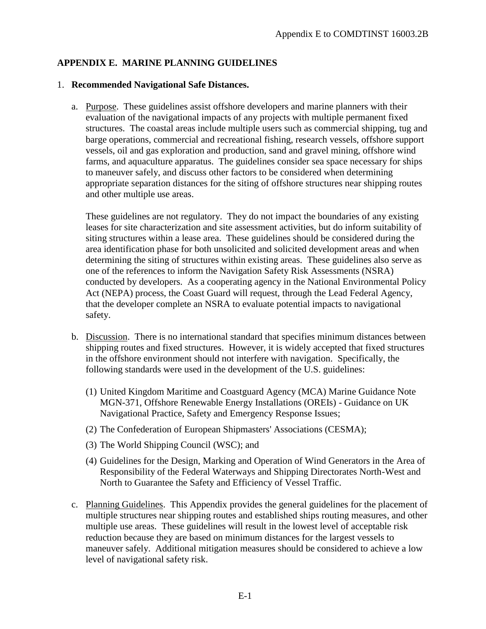# **APPENDIX E. MARINE PLANNING GUIDELINES**

### 1. **Recommended Navigational Safe Distances.**

a. Purpose. These guidelines assist offshore developers and marine planners with their evaluation of the navigational impacts of any projects with multiple permanent fixed structures. The coastal areas include multiple users such as commercial shipping, tug and barge operations, commercial and recreational fishing, research vessels, offshore support vessels, oil and gas exploration and production, sand and gravel mining, offshore wind farms, and aquaculture apparatus. The guidelines consider sea space necessary for ships to maneuver safely, and discuss other factors to be considered when determining appropriate separation distances for the siting of offshore structures near shipping routes and other multiple use areas.

These guidelines are not regulatory. They do not impact the boundaries of any existing leases for site characterization and site assessment activities, but do inform suitability of siting structures within a lease area. These guidelines should be considered during the area identification phase for both unsolicited and solicited development areas and when determining the siting of structures within existing areas. These guidelines also serve as one of the references to inform the Navigation Safety Risk Assessments (NSRA) conducted by developers. As a cooperating agency in the National Environmental Policy Act (NEPA) process, the Coast Guard will request, through the Lead Federal Agency, that the developer complete an NSRA to evaluate potential impacts to navigational safety.

- b. Discussion. There is no international standard that specifies minimum distances between shipping routes and fixed structures. However, it is widely accepted that fixed structures in the offshore environment should not interfere with navigation. Specifically, the following standards were used in the development of the U.S. guidelines:
	- (1) United Kingdom Maritime and Coastguard Agency (MCA) Marine Guidance Note MGN-371, Offshore Renewable Energy Installations (OREIs) - Guidance on UK Navigational Practice, Safety and Emergency Response Issues;
	- (2) The Confederation of European Shipmasters' Associations (CESMA);
	- (3) The World Shipping Council (WSC); and
	- (4) Guidelines for the Design, Marking and Operation of Wind Generators in the Area of Responsibility of the Federal Waterways and Shipping Directorates North-West and North to Guarantee the Safety and Efficiency of Vessel Traffic.
- c. Planning Guidelines. This Appendix provides the general guidelines for the placement of multiple structures near shipping routes and established ships routing measures, and other multiple use areas. These guidelines will result in the lowest level of acceptable risk reduction because they are based on minimum distances for the largest vessels to maneuver safely. Additional mitigation measures should be considered to achieve a low level of navigational safety risk.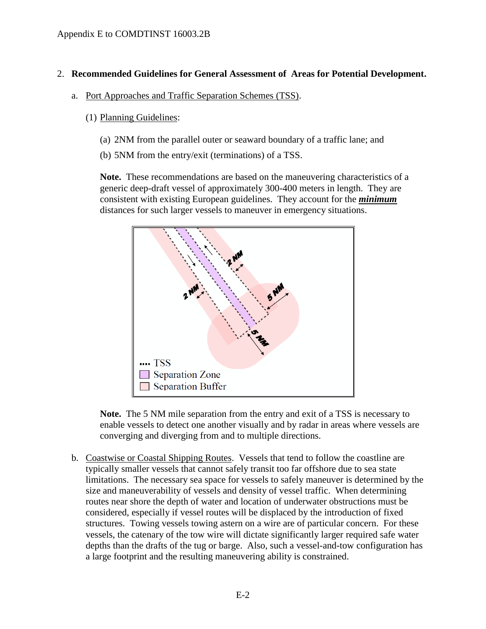### 2. **Recommended Guidelines for General Assessment of Areas for Potential Development.**

- a. Port Approaches and Traffic Separation Schemes (TSS).
	- (1) Planning Guidelines:
		- (a) 2NM from the parallel outer or seaward boundary of a traffic lane; and
		- (b) 5NM from the entry/exit (terminations) of a TSS.

**Note.** These recommendations are based on the maneuvering characteristics of a generic deep-draft vessel of approximately 300-400 meters in length. They are consistent with existing European guidelines. They account for the *minimum* distances for such larger vessels to maneuver in emergency situations.



**Note.** The 5 NM mile separation from the entry and exit of a TSS is necessary to enable vessels to detect one another visually and by radar in areas where vessels are converging and diverging from and to multiple directions.

b. Coastwise or Coastal Shipping Routes. Vessels that tend to follow the coastline are typically smaller vessels that cannot safely transit too far offshore due to sea state limitations. The necessary sea space for vessels to safely maneuver is determined by the size and maneuverability of vessels and density of vessel traffic. When determining routes near shore the depth of water and location of underwater obstructions must be considered, especially if vessel routes will be displaced by the introduction of fixed structures. Towing vessels towing astern on a wire are of particular concern. For these vessels, the catenary of the tow wire will dictate significantly larger required safe water depths than the drafts of the tug or barge. Also, such a vessel-and-tow configuration has a large footprint and the resulting maneuvering ability is constrained.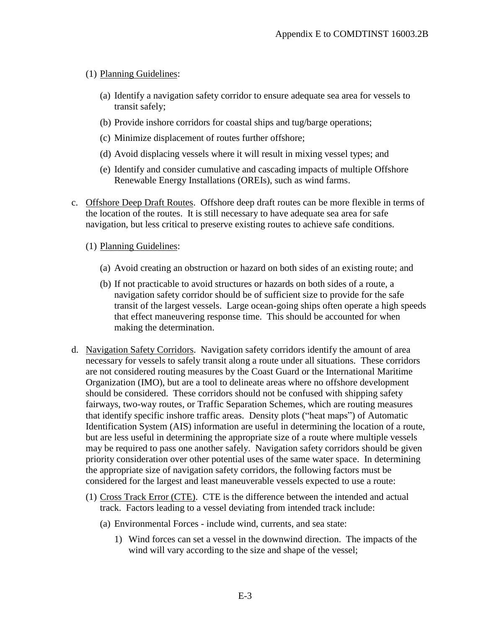- (1) Planning Guidelines:
	- (a) Identify a navigation safety corridor to ensure adequate sea area for vessels to transit safely;
	- (b) Provide inshore corridors for coastal ships and tug/barge operations;
	- (c) Minimize displacement of routes further offshore;
	- (d) Avoid displacing vessels where it will result in mixing vessel types; and
	- (e) Identify and consider cumulative and cascading impacts of multiple Offshore Renewable Energy Installations (OREIs), such as wind farms.
- c. Offshore Deep Draft Routes. Offshore deep draft routes can be more flexible in terms of the location of the routes. It is still necessary to have adequate sea area for safe navigation, but less critical to preserve existing routes to achieve safe conditions.
	- (1) Planning Guidelines:
		- (a) Avoid creating an obstruction or hazard on both sides of an existing route; and
		- (b) If not practicable to avoid structures or hazards on both sides of a route, a navigation safety corridor should be of sufficient size to provide for the safe transit of the largest vessels. Large ocean-going ships often operate a high speeds that effect maneuvering response time. This should be accounted for when making the determination.
- d. Navigation Safety Corridors. Navigation safety corridors identify the amount of area necessary for vessels to safely transit along a route under all situations. These corridors are not considered routing measures by the Coast Guard or the International Maritime Organization (IMO), but are a tool to delineate areas where no offshore development should be considered. These corridors should not be confused with shipping safety fairways, two-way routes, or Traffic Separation Schemes, which are routing measures that identify specific inshore traffic areas. Density plots ("heat maps") of Automatic Identification System (AIS) information are useful in determining the location of a route, but are less useful in determining the appropriate size of a route where multiple vessels may be required to pass one another safely. Navigation safety corridors should be given priority consideration over other potential uses of the same water space. In determining the appropriate size of navigation safety corridors, the following factors must be considered for the largest and least maneuverable vessels expected to use a route:
	- (1) Cross Track Error (CTE). CTE is the difference between the intended and actual track. Factors leading to a vessel deviating from intended track include:
		- (a) Environmental Forces include wind, currents, and sea state:
			- 1) Wind forces can set a vessel in the downwind direction. The impacts of the wind will vary according to the size and shape of the vessel;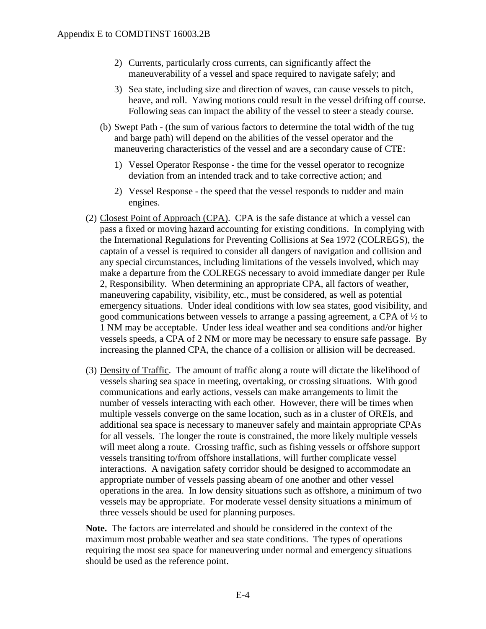- 2) Currents, particularly cross currents, can significantly affect the maneuverability of a vessel and space required to navigate safely; and
- 3) Sea state, including size and direction of waves, can cause vessels to pitch, heave, and roll. Yawing motions could result in the vessel drifting off course. Following seas can impact the ability of the vessel to steer a steady course.
- (b) Swept Path (the sum of various factors to determine the total width of the tug and barge path) will depend on the abilities of the vessel operator and the maneuvering characteristics of the vessel and are a secondary cause of CTE:
	- 1) Vessel Operator Response the time for the vessel operator to recognize deviation from an intended track and to take corrective action; and
	- 2) Vessel Response the speed that the vessel responds to rudder and main engines.
- (2) Closest Point of Approach (CPA). CPA is the safe distance at which a vessel can pass a fixed or moving hazard accounting for existing conditions. In complying with the International Regulations for Preventing Collisions at Sea 1972 (COLREGS), the captain of a vessel is required to consider all dangers of navigation and collision and any special circumstances, including limitations of the vessels involved, which may make a departure from the COLREGS necessary to avoid immediate danger per Rule 2, Responsibility. When determining an appropriate CPA, all factors of weather, maneuvering capability, visibility, etc., must be considered, as well as potential emergency situations. Under ideal conditions with low sea states, good visibility, and good communications between vessels to arrange a passing agreement, a CPA of ½ to 1 NM may be acceptable. Under less ideal weather and sea conditions and/or higher vessels speeds, a CPA of 2 NM or more may be necessary to ensure safe passage. By increasing the planned CPA, the chance of a collision or allision will be decreased.
- (3) Density of Traffic. The amount of traffic along a route will dictate the likelihood of vessels sharing sea space in meeting, overtaking, or crossing situations. With good communications and early actions, vessels can make arrangements to limit the number of vessels interacting with each other. However, there will be times when multiple vessels converge on the same location, such as in a cluster of OREIs, and additional sea space is necessary to maneuver safely and maintain appropriate CPAs for all vessels. The longer the route is constrained, the more likely multiple vessels will meet along a route. Crossing traffic, such as fishing vessels or offshore support vessels transiting to/from offshore installations, will further complicate vessel interactions. A navigation safety corridor should be designed to accommodate an appropriate number of vessels passing abeam of one another and other vessel operations in the area. In low density situations such as offshore, a minimum of two vessels may be appropriate. For moderate vessel density situations a minimum of three vessels should be used for planning purposes.

**Note.** The factors are interrelated and should be considered in the context of the maximum most probable weather and sea state conditions. The types of operations requiring the most sea space for maneuvering under normal and emergency situations should be used as the reference point.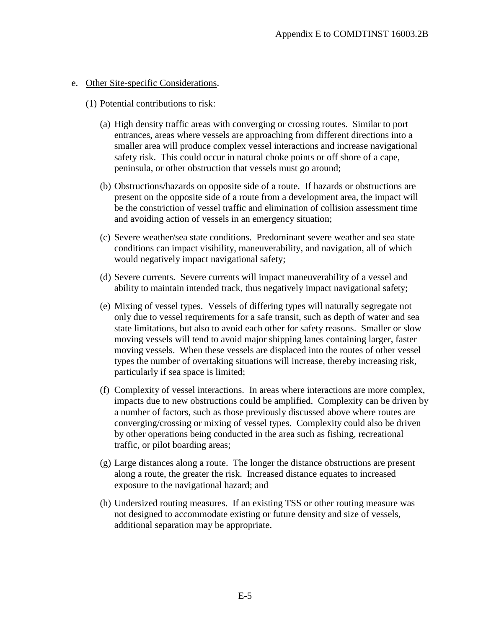#### e. Other Site-specific Considerations.

#### (1) Potential contributions to risk:

- (a) High density traffic areas with converging or crossing routes. Similar to port entrances, areas where vessels are approaching from different directions into a smaller area will produce complex vessel interactions and increase navigational safety risk. This could occur in natural choke points or off shore of a cape, peninsula, or other obstruction that vessels must go around;
- (b) Obstructions/hazards on opposite side of a route. If hazards or obstructions are present on the opposite side of a route from a development area, the impact will be the constriction of vessel traffic and elimination of collision assessment time and avoiding action of vessels in an emergency situation;
- (c) Severe weather/sea state conditions. Predominant severe weather and sea state conditions can impact visibility, maneuverability, and navigation, all of which would negatively impact navigational safety;
- (d) Severe currents. Severe currents will impact maneuverability of a vessel and ability to maintain intended track, thus negatively impact navigational safety;
- (e) Mixing of vessel types. Vessels of differing types will naturally segregate not only due to vessel requirements for a safe transit, such as depth of water and sea state limitations, but also to avoid each other for safety reasons. Smaller or slow moving vessels will tend to avoid major shipping lanes containing larger, faster moving vessels. When these vessels are displaced into the routes of other vessel types the number of overtaking situations will increase, thereby increasing risk, particularly if sea space is limited;
- (f) Complexity of vessel interactions. In areas where interactions are more complex, impacts due to new obstructions could be amplified. Complexity can be driven by a number of factors, such as those previously discussed above where routes are converging/crossing or mixing of vessel types. Complexity could also be driven by other operations being conducted in the area such as fishing, recreational traffic, or pilot boarding areas;
- (g) Large distances along a route. The longer the distance obstructions are present along a route, the greater the risk. Increased distance equates to increased exposure to the navigational hazard; and
- (h) Undersized routing measures. If an existing TSS or other routing measure was not designed to accommodate existing or future density and size of vessels, additional separation may be appropriate.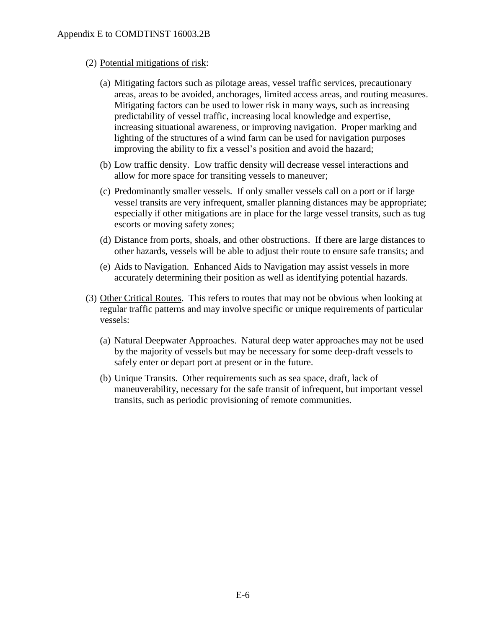### (2) Potential mitigations of risk:

- (a) Mitigating factors such as pilotage areas, vessel traffic services, precautionary areas, areas to be avoided, anchorages, limited access areas, and routing measures. Mitigating factors can be used to lower risk in many ways, such as increasing predictability of vessel traffic, increasing local knowledge and expertise, increasing situational awareness, or improving navigation. Proper marking and lighting of the structures of a wind farm can be used for navigation purposes improving the ability to fix a vessel's position and avoid the hazard;
- (b) Low traffic density.Low traffic density will decrease vessel interactions and allow for more space for transiting vessels to maneuver;
- (c) Predominantly smaller vessels.If only smaller vessels call on a port or if large vessel transits are very infrequent, smaller planning distances may be appropriate; especially if other mitigations are in place for the large vessel transits, such as tug escorts or moving safety zones;
- (d) Distance from ports, shoals, and other obstructions.If there are large distances to other hazards, vessels will be able to adjust their route to ensure safe transits; and
- (e) Aids to Navigation.Enhanced Aids to Navigation may assist vessels in more accurately determining their position as well as identifying potential hazards.
- (3) Other Critical Routes. This refers to routes that may not be obvious when looking at regular traffic patterns and may involve specific or unique requirements of particular vessels:
	- (a) Natural Deepwater Approaches. Natural deep water approaches may not be used by the majority of vessels but may be necessary for some deep-draft vessels to safely enter or depart port at present or in the future.
	- (b) Unique Transits. Other requirements such as sea space, draft, lack of maneuverability, necessary for the safe transit of infrequent, but important vessel transits, such as periodic provisioning of remote communities.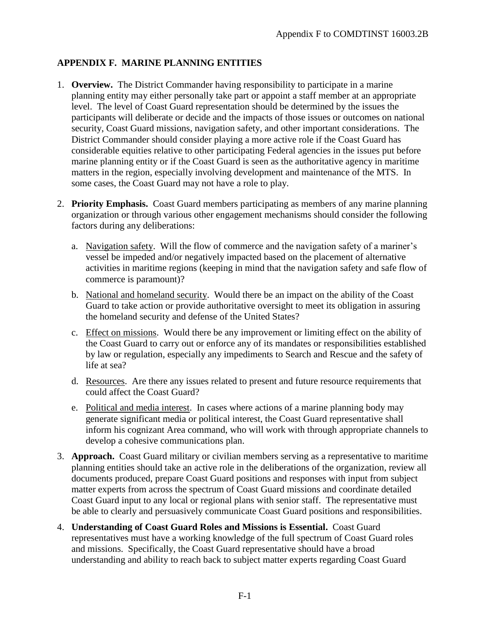## **APPENDIX F. MARINE PLANNING ENTITIES**

- 1. **Overview.** The District Commander having responsibility to participate in a marine planning entity may either personally take part or appoint a staff member at an appropriate level. The level of Coast Guard representation should be determined by the issues the participants will deliberate or decide and the impacts of those issues or outcomes on national security, Coast Guard missions, navigation safety, and other important considerations. The District Commander should consider playing a more active role if the Coast Guard has considerable equities relative to other participating Federal agencies in the issues put before marine planning entity or if the Coast Guard is seen as the authoritative agency in maritime matters in the region, especially involving development and maintenance of the MTS. In some cases, the Coast Guard may not have a role to play.
- 2. **Priority Emphasis.** Coast Guard members participating as members of any marine planning organization or through various other engagement mechanisms should consider the following factors during any deliberations:
	- a. Navigation safety. Will the flow of commerce and the navigation safety of a mariner's vessel be impeded and/or negatively impacted based on the placement of alternative activities in maritime regions (keeping in mind that the navigation safety and safe flow of commerce is paramount)?
	- b. National and homeland security. Would there be an impact on the ability of the Coast Guard to take action or provide authoritative oversight to meet its obligation in assuring the homeland security and defense of the United States?
	- c. Effect on missions. Would there be any improvement or limiting effect on the ability of the Coast Guard to carry out or enforce any of its mandates or responsibilities established by law or regulation, especially any impediments to Search and Rescue and the safety of life at sea?
	- d. Resources. Are there any issues related to present and future resource requirements that could affect the Coast Guard?
	- e. Political and media interest. In cases where actions of a marine planning body may generate significant media or political interest, the Coast Guard representative shall inform his cognizant Area command, who will work with through appropriate channels to develop a cohesive communications plan.
- 3. **Approach.** Coast Guard military or civilian members serving as a representative to maritime planning entities should take an active role in the deliberations of the organization, review all documents produced, prepare Coast Guard positions and responses with input from subject matter experts from across the spectrum of Coast Guard missions and coordinate detailed Coast Guard input to any local or regional plans with senior staff. The representative must be able to clearly and persuasively communicate Coast Guard positions and responsibilities.
- 4. **Understanding of Coast Guard Roles and Missions is Essential.** Coast Guard representatives must have a working knowledge of the full spectrum of Coast Guard roles and missions. Specifically, the Coast Guard representative should have a broad understanding and ability to reach back to subject matter experts regarding Coast Guard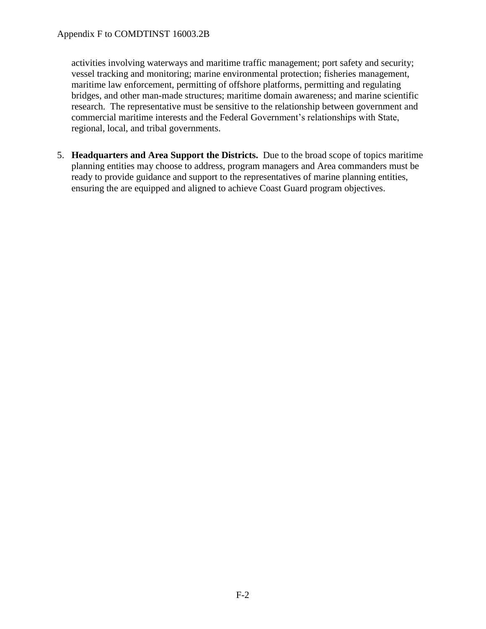activities involving waterways and maritime traffic management; port safety and security; vessel tracking and monitoring; marine environmental protection; fisheries management, maritime law enforcement, permitting of offshore platforms, permitting and regulating bridges, and other man-made structures; maritime domain awareness; and marine scientific research. The representative must be sensitive to the relationship between government and commercial maritime interests and the Federal Government's relationships with State, regional, local, and tribal governments.

5. **Headquarters and Area Support the Districts.** Due to the broad scope of topics maritime planning entities may choose to address, program managers and Area commanders must be ready to provide guidance and support to the representatives of marine planning entities, ensuring the are equipped and aligned to achieve Coast Guard program objectives.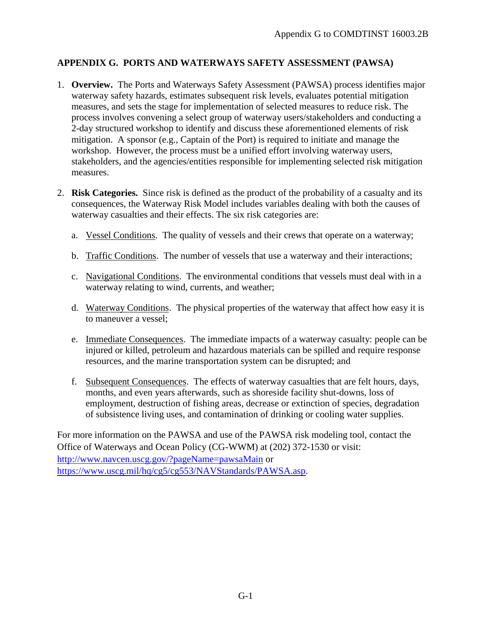## **APPENDIX G. PORTS AND WATERWAYS SAFETY ASSESSMENT (PAWSA)**

- 1. **Overview.** The Ports and Waterways Safety Assessment (PAWSA) process identifies major waterway safety hazards, estimates subsequent risk levels, evaluates potential mitigation measures, and sets the stage for implementation of selected measures to reduce risk. The process involves convening a select group of waterway users/stakeholders and conducting a 2-day structured workshop to identify and discuss these aforementioned elements of risk mitigation. A sponsor (e.g., Captain of the Port) is required to initiate and manage the workshop. However, the process must be a unified effort involving waterway users, stakeholders, and the agencies/entities responsible for implementing selected risk mitigation measures.
- 2. **Risk Categories.** Since risk is defined as the product of the probability of a casualty and its consequences, the Waterway Risk Model includes variables dealing with both the causes of waterway casualties and their effects. The six risk categories are:
	- a. Vessel Conditions. The quality of vessels and their crews that operate on a waterway;
	- b. Traffic Conditions. The number of vessels that use a waterway and their interactions;
	- c. Navigational Conditions. The environmental conditions that vessels must deal with in a waterway relating to wind, currents, and weather;
	- d. Waterway Conditions. The physical properties of the waterway that affect how easy it is to maneuver a vessel;
	- e. Immediate Consequences. The immediate impacts of a waterway casualty: people can be injured or killed, petroleum and hazardous materials can be spilled and require response resources, and the marine transportation system can be disrupted; and
	- f. Subsequent Consequences. The effects of waterway casualties that are felt hours, days, months, and even years afterwards, such as shoreside facility shut-downs, loss of employment, destruction of fishing areas, decrease or extinction of species, degradation of subsistence living uses, and contamination of drinking or cooling water supplies.

For more information on the PAWSA and use of the PAWSA risk modeling tool, contact the Office of Waterways and Ocean Policy (CG-WWM) at (202) 372-1530 or visit: <http://www.navcen.uscg.gov/?pageName=pawsaMain> or [https://www.uscg.mil/hq/cg5/cg553/NAVStandards/PAWSA.asp.](https://www.uscg.mil/hq/cg5/cg553/NAVStandards/PAWSA.asp)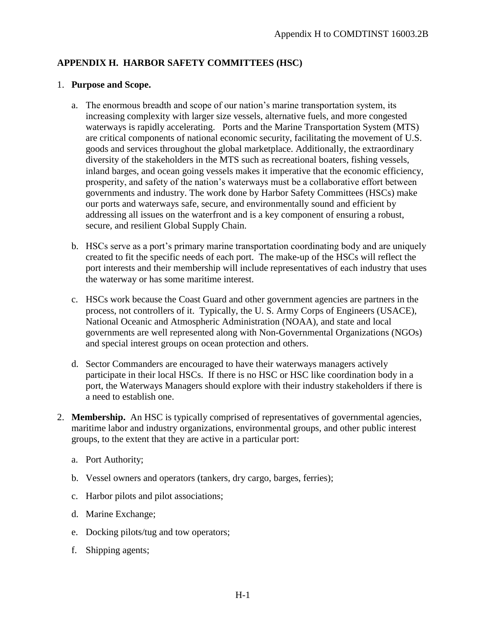# **APPENDIX H. HARBOR SAFETY COMMITTEES (HSC)**

#### 1. **Purpose and Scope.**

- a. The enormous breadth and scope of our nation's marine transportation system, its increasing complexity with larger size vessels, alternative fuels, and more congested waterways is rapidly accelerating. Ports and the Marine Transportation System (MTS) are critical components of national economic security, facilitating the movement of U.S. goods and services throughout the global marketplace. Additionally, the extraordinary diversity of the stakeholders in the MTS such as recreational boaters, fishing vessels, inland barges, and ocean going vessels makes it imperative that the economic efficiency, prosperity, and safety of the nation's waterways must be a collaborative effort between governments and industry. The work done by Harbor Safety Committees (HSCs) make our ports and waterways safe, secure, and environmentally sound and efficient by addressing all issues on the waterfront and is a key component of ensuring a robust, secure, and resilient Global Supply Chain.
- b. HSCs serve as a port's primary marine transportation coordinating body and are uniquely created to fit the specific needs of each port. The make-up of the HSCs will reflect the port interests and their membership will include representatives of each industry that uses the waterway or has some maritime interest.
- c. HSCs work because the Coast Guard and other government agencies are partners in the process, not controllers of it. Typically, the U. S. Army Corps of Engineers (USACE), National Oceanic and Atmospheric Administration (NOAA), and state and local governments are well represented along with Non-Governmental Organizations (NGOs) and special interest groups on ocean protection and others.
- d. Sector Commanders are encouraged to have their waterways managers actively participate in their local HSCs. If there is no HSC or HSC like coordination body in a port, the Waterways Managers should explore with their industry stakeholders if there is a need to establish one.
- 2. **Membership.** An HSC is typically comprised of representatives of governmental agencies, maritime labor and industry organizations, environmental groups, and other public interest groups, to the extent that they are active in a particular port:
	- a. Port Authority;
	- b. Vessel owners and operators (tankers, dry cargo, barges, ferries);
	- c. Harbor pilots and pilot associations;
	- d. Marine Exchange;
	- e. Docking pilots/tug and tow operators;
	- f. Shipping agents;